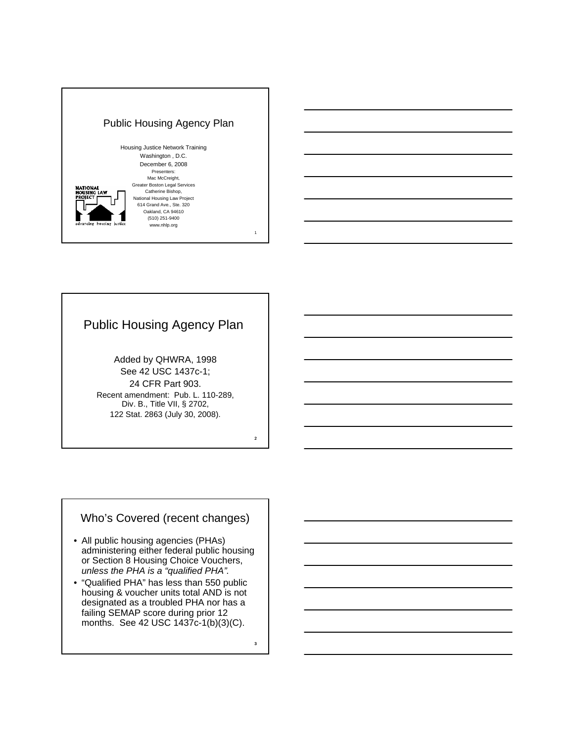

## Public Housing Agency Plan

Added by QHWRA, 1998 See 42 USC 1437c-1; 24 CFR Part 903. Recent amendment: Pub. L. 110-289, Div. B., Title VII, § 2702, 122 Stat. 2863 (July 30, 2008).

### Who's Covered (recent changes)

- All public housing agencies (PHAs) administering either federal public housing or Section 8 Housing Choice Vouchers, *unless the PHA is a "qualified PHA".*
- "Qualified PHA" has less than 550 public housing & voucher units total AND is not designated as a troubled PHA nor has a failing SEMAP score during prior 12 months. See 42 USC 1437c-1(b)(3)(C).

3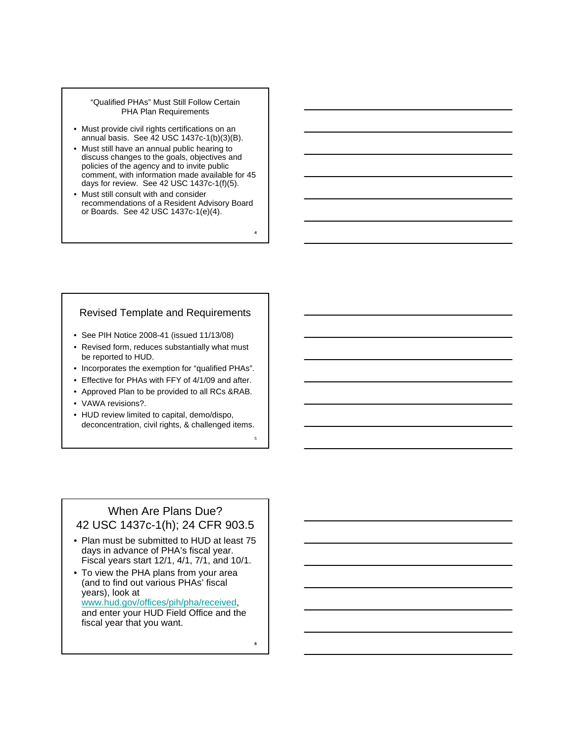#### "Qualified PHAs" Must Still Follow Certain PHA Plan Requirements

- Must provide civil rights certifications on an annual basis. See 42 USC 1437c-1(b)(3)(B).
- Must still have an annual public hearing to discuss changes to the goals, objectives and policies of the agency and to invite public comment, with information made available for 45 days for review. See 42 USC 1437c-1(f)(5).
- Must still consult with and consider recommendations of a Resident Advisory Board or Boards. See 42 USC 1437c-1(e)(4).

4

5

6

#### Revised Template and Requirements

- See PIH Notice 2008-41 (issued 11/13/08)
- Revised form, reduces substantially what must be reported to HUD.
- Incorporates the exemption for "qualified PHAs".
- Effective for PHAs with FFY of 4/1/09 and after.
- Approved Plan to be provided to all RCs &RAB.
- VAWA revisions?.
- HUD review limited to capital, demo/dispo, deconcentration, civil rights, & challenged items.

### When Are Plans Due? 42 USC 1437c-1(h); 24 CFR 903.5

- Plan must be submitted to HUD at least 75 days in advance of PHA's fiscal year. Fiscal years start 12/1, 4/1, 7/1, and 10/1.
- To view the PHA plans from your area (and to find out various PHAs' fiscal years), look at www.hud.gov/offices/pih/pha/received, and enter your HUD Field Office and the fiscal year that you want.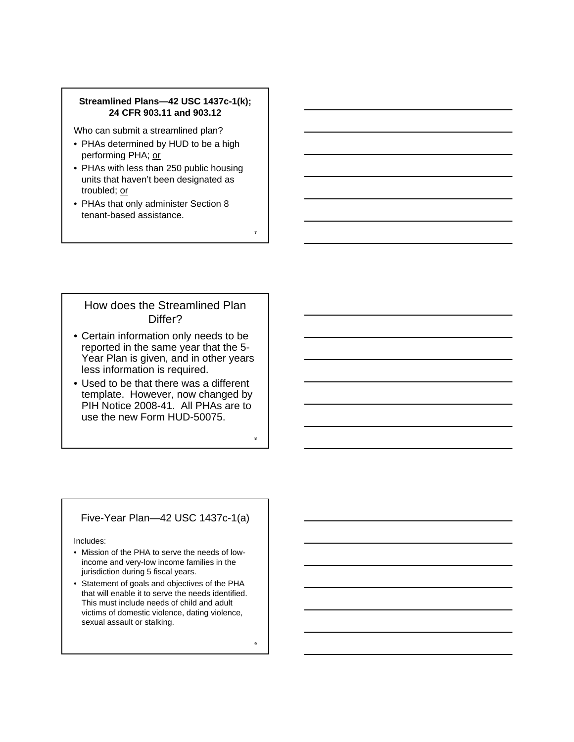#### **Streamlined Plans—42 USC 1437c-1(k); 24 CFR 903.11 and 903.12**

Who can submit a streamlined plan?

- PHAs determined by HUD to be a high performing PHA; or
- PHAs with less than 250 public housing units that haven't been designated as troubled; or
- PHAs that only administer Section 8 tenant-based assistance.

### How does the Streamlined Plan Differ?

7

8

9

- Certain information only needs to be reported in the same year that the 5- Year Plan is given, and in other years less information is required.
- Used to be that there was a different template. However, now changed by PIH Notice 2008-41. All PHAs are to use the new Form HUD-50075.

#### Five-Year Plan—42 USC 1437c-1(a)

Includes:

- Mission of the PHA to serve the needs of lowincome and very-low income families in the jurisdiction during 5 fiscal years.
- Statement of goals and objectives of the PHA that will enable it to serve the needs identified. This must include needs of child and adult victims of domestic violence, dating violence, sexual assault or stalking.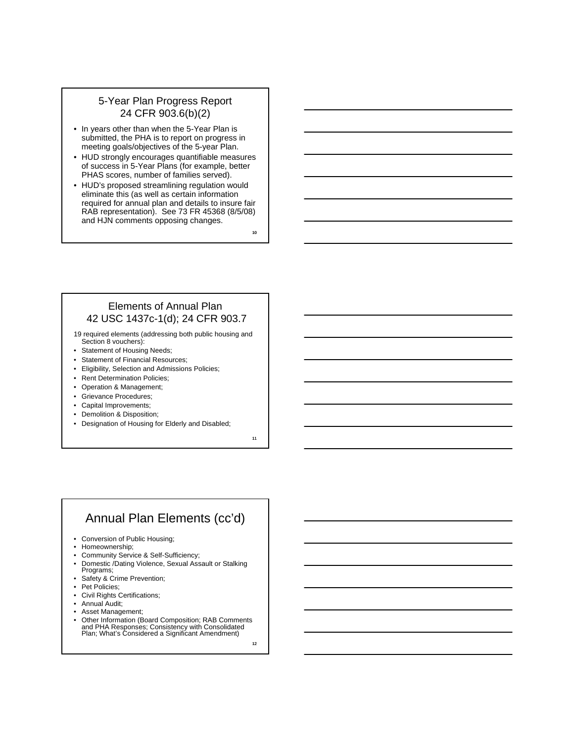### 5-Year Plan Progress Report 24 CFR 903.6(b)(2)

- In years other than when the 5-Year Plan is submitted, the PHA is to report on progress in meeting goals/objectives of the 5-year Plan.
- HUD strongly encourages quantifiable measures of success in 5-Year Plans (for example, better PHAS scores, number of families served).
- HUD's proposed streamlining regulation would eliminate this (as well as certain information required for annual plan and details to insure fair RAB representation). See 73 FR 45368 (8/5/08) and HJN comments opposing changes.

10

#### Elements of Annual Plan 42 USC 1437c-1(d); 24 CFR 903.7

- 19 required elements (addressing both public housing and Section 8 vouchers):
- Statement of Housing Needs;
- Statement of Financial Resources;
- Eligibility, Selection and Admissions Policies;
- Rent Determination Policies;
- Operation & Management;
- Grievance Procedures;
- Capital Improvements;
- Demolition & Disposition;
- Designation of Housing for Elderly and Disabled;

11

## Annual Plan Elements (cc'd)

- Conversion of Public Housing;
- Homeownership;
- Community Service & Self-Sufficiency;
- Domestic /Dating Violence, Sexual Assault or Stalking Programs;
- Safety & Crime Prevention;
- Pet Policies;
- Civil Rights Certifications;
- Annual Audit;
- Asset Management;
- Other Information (Board Composition; RAB Comments and PHA Responses; Consistency with Consolidated Plan; What's Considered a Significant Amendment)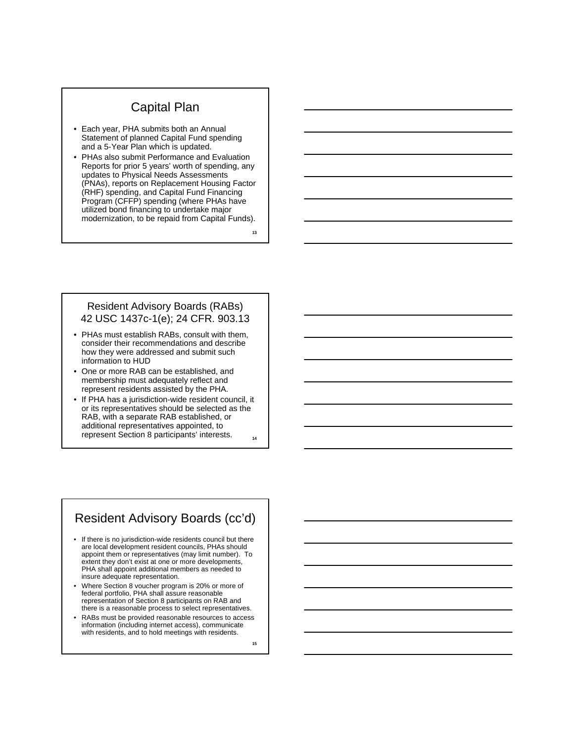### Capital Plan

- Each year, PHA submits both an Annual Statement of planned Capital Fund spending and a 5-Year Plan which is updated.
- PHAs also submit Performance and Evaluation Reports for prior 5 years' worth of spending, any updates to Physical Needs Assessments (PNAs), reports on Replacement Housing Factor (RHF) spending, and Capital Fund Financing Program (CFFP) spending (where PHAs have utilized bond financing to undertake major modernization, to be repaid from Capital Funds).

13

#### Resident Advisory Boards (RABs) 42 USC 1437c-1(e); 24 CFR. 903.13

- PHAs must establish RABs, consult with them, consider their recommendations and describe how they were addressed and submit such information to HUD
- One or more RAB can be established, and membership must adequately reflect and represent residents assisted by the PHA.
- 14 • If PHA has a jurisdiction-wide resident council, it or its representatives should be selected as the RAB, with a separate RAB established, or additional representatives appointed, to represent Section 8 participants' interests.

### Resident Advisory Boards (cc'd)

- If there is no jurisdiction-wide residents council but there are local development resident councils, PHAs should appoint them or representatives (may limit number). To extent they don't exist at one or more developments, PHA shall appoint additional members as needed to insure adequate representation.
- Where Section 8 voucher program is 20% or more of federal portfolio, PHA shall assure reasonable representation of Section 8 participants on RAB and there is a reasonable process to select representatives.
- RABs must be provided reasonable resources to access information (including internet access), communicate with residents, and to hold meetings with residents.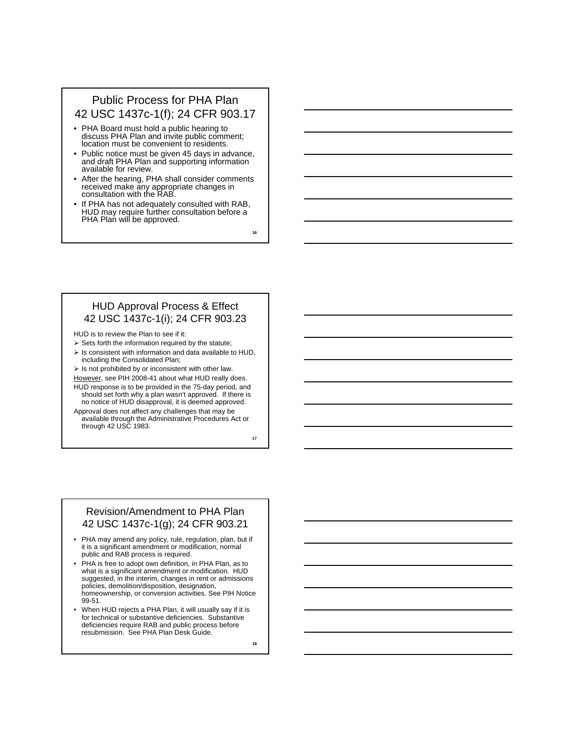### Public Process for PHA Plan 42 USC 1437c-1(f); 24 CFR 903.17

- PHA Board must hold a public hearing to discuss PHA Plan and invite public comment; location must be convenient to residents.
- Public notice must be given 45 days in advance, and draft PHA Plan and supporting information available for review.
- After the hearing, PHA shall consider comments received make any appropriate changes in consultation with the RAB.
- If PHA has not adequately consulted with RAB, HUD may require further consultation before a PHA Plan will be approved.

16

#### HUD Approval Process & Effect 42 USC 1437c-1(i); 24 CFR 903.23

HUD is to review the Plan to see if it:

- $\triangleright$  Sets forth the information required by the statute;
- $\triangleright$  Is consistent with information and data available to HUD, including the Consolidated Plan;

 $\triangleright$  Is not prohibited by or inconsistent with other law.

However, see PIH 2008-41 about what HUD really does. HUD response is to be provided in the 75-day period, and

should set forth why a plan wasn't approved. If there is no notice of HUD disapproval, it is deemed approved. Approval does not affect any challenges that may be available through the Administrative Procedures Act or

through 42 USC 1983.

17

#### Revision/Amendment to PHA Plan 42 USC 1437c-1(g); 24 CFR 903.21

- PHA may amend any policy, rule, regulation, plan, but if it is a significant amendment or modification, normal public and RAB process is required.
- PHA is free to adopt own definition, in PHA Plan, as to what is a significant amendment or modification. HUD suggested, in the interim, changes in rent or admissions policies, demolition/disposition, designation, homeownership, or conversion activities. See PIH Notice 99-51.
- When HUD rejects a PHA Plan, it will usually say if it is for technical or substantive deficiencies. Substantive deficiencies require RAB and public process before resubmission. See PHA Plan Desk Guide.